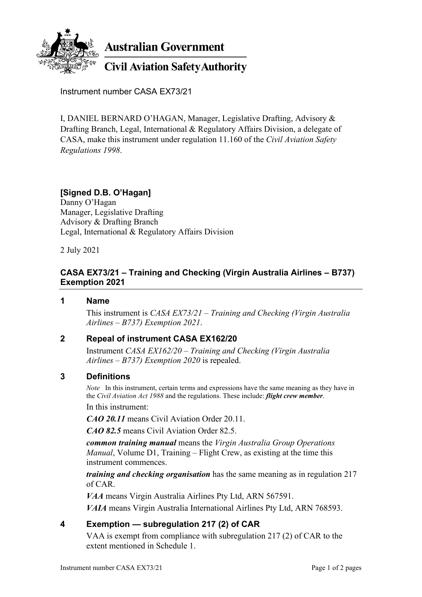

**Australian Government** 

# **Civil Aviation Safety Authority**

Instrument number CASA EX73/21

I, DANIEL BERNARD O'HAGAN, Manager, Legislative Drafting, Advisory & Drafting Branch, Legal, International & Regulatory Affairs Division, a delegate of CASA, make this instrument under regulation 11.160 of the *Civil Aviation Safety Regulations 1998*.

## **[Signed D.B. O'Hagan]**

Danny O'Hagan Manager, Legislative Drafting Advisory & Drafting Branch Legal, International & Regulatory Affairs Division

2 July 2021

## **CASA EX73/21 – Training and Checking (Virgin Australia Airlines – B737) Exemption 2021**

#### **1 Name**

This instrument is *CASA EX73/21 – Training and Checking (Virgin Australia Airlines – B737) Exemption 2021*.

#### **2 Repeal of instrument CASA EX162/20**

Instrument *CASA EX162/20 – Training and Checking (Virgin Australia Airlines – B737) Exemption 2020* is repealed.

#### **3 Definitions**

*Note* In this instrument, certain terms and expressions have the same meaning as they have in the *Civil Aviation Act 1988* and the regulations. These include: *flight crew member*.

In this instrument:

*CAO 20.11* means Civil Aviation Order 20.11.

*CAO 82.5* means Civil Aviation Order 82.5.

*common training manual* means the *Virgin Australia Group Operations Manual*, Volume D1, Training – Flight Crew, as existing at the time this instrument commences.

*training and checking organisation* has the same meaning as in regulation 217 of CAR.

*VAA* means Virgin Australia Airlines Pty Ltd, ARN 567591.

*VAIA* means Virgin Australia International Airlines Pty Ltd, ARN 768593.

## **4 Exemption — subregulation 217 (2) of CAR**

VAA is exempt from compliance with subregulation 217 (2) of CAR to the extent mentioned in Schedule 1.